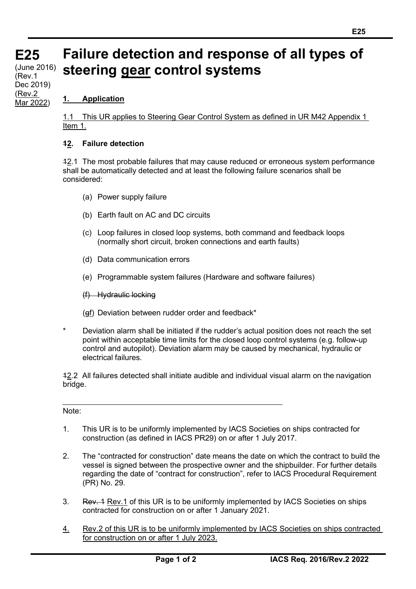# **E25** (June 2016) **Failure detection and response of all types of steering gear control systems**

## **1. Application**

**(cont)** (Rev.1

Dec 2019) (Rev.2 Mar 2022)

**E25**

1.1 This UR applies to Steering Gear Control System as defined in UR M42 Appendix 1 Item 1.

### **12. Failure detection**

12.1 The most probable failures that may cause reduced or erroneous system performance shall be automatically detected and at least the following failure scenarios shall be considered:

- (a) Power supply failure
- (b) Earth fault on AC and DC circuits
- (c) Loop failures in closed loop systems, both command and feedback loops (normally short circuit, broken connections and earth faults)
- (d) Data communication errors
- (e) Programmable system failures (Hardware and software failures)
- (f) Hydraulic locking
- $(gf)$  Deviation between rudder order and feedback\*
- Deviation alarm shall be initiated if the rudder's actual position does not reach the set point within acceptable time limits for the closed loop control systems (e.g. follow-up control and autopilot). Deviation alarm may be caused by mechanical, hydraulic or electrical failures.

12.2 All failures detected shall initiate audible and individual visual alarm on the navigation bridge.

#### Note:

- 1. This UR is to be uniformly implemented by IACS Societies on ships contracted for construction (as defined in IACS PR29) on or after 1 July 2017.
- 2. The "contracted for construction" date means the date on which the contract to build the vessel is signed between the prospective owner and the shipbuilder. For further details regarding the date of "contract for construction", refer to IACS Procedural Requirement (PR) No. 29.
- 3. Rev. 1 Rev. 1 of this UR is to be uniformly implemented by IACS Societies on ships contracted for construction on or after 1 January 2021.
- 4. Rev.2 of this UR is to be uniformly implemented by IACS Societies on ships contracted for construction on or after 1 July 2023.